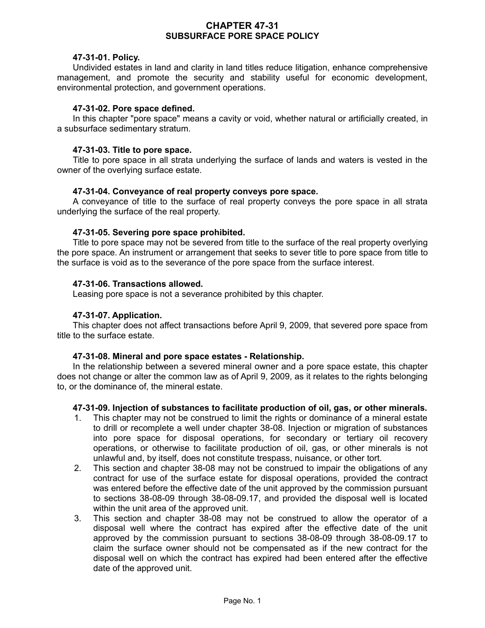# **CHAPTER 47-31 SUBSURFACE PORE SPACE POLICY**

## **47-31-01. Policy.**

Undivided estates in land and clarity in land titles reduce litigation, enhance comprehensive management, and promote the security and stability useful for economic development, environmental protection, and government operations.

### **47-31-02. Pore space defined.**

In this chapter "pore space" means a cavity or void, whether natural or artificially created, in a subsurface sedimentary stratum.

### **47-31-03. Title to pore space.**

Title to pore space in all strata underlying the surface of lands and waters is vested in the owner of the overlying surface estate.

# **47-31-04. Conveyance of real property conveys pore space.**

A conveyance of title to the surface of real property conveys the pore space in all strata underlying the surface of the real property.

# **47-31-05. Severing pore space prohibited.**

Title to pore space may not be severed from title to the surface of the real property overlying the pore space. An instrument or arrangement that seeks to sever title to pore space from title to the surface is void as to the severance of the pore space from the surface interest.

# **47-31-06. Transactions allowed.**

Leasing pore space is not a severance prohibited by this chapter.

### **47-31-07. Application.**

This chapter does not affect transactions before April 9, 2009, that severed pore space from title to the surface estate.

#### **47-31-08. Mineral and pore space estates - Relationship.**

In the relationship between a severed mineral owner and a pore space estate, this chapter does not change or alter the common law as of April 9, 2009, as it relates to the rights belonging to, or the dominance of, the mineral estate.

#### **47-31-09. Injection of substances to facilitate production of oil, gas, or other minerals.**

- 1. This chapter may not be construed to limit the rights or dominance of a mineral estate to drill or recomplete a well under chapter 38-08. Injection or migration of substances into pore space for disposal operations, for secondary or tertiary oil recovery operations, or otherwise to facilitate production of oil, gas, or other minerals is not unlawful and, by itself, does not constitute trespass, nuisance, or other tort.
- 2. This section and chapter 38-08 may not be construed to impair the obligations of any contract for use of the surface estate for disposal operations, provided the contract was entered before the effective date of the unit approved by the commission pursuant to sections 38-08-09 through 38-08-09.17, and provided the disposal well is located within the unit area of the approved unit.
- 3. This section and chapter 38-08 may not be construed to allow the operator of a disposal well where the contract has expired after the effective date of the unit approved by the commission pursuant to sections 38-08-09 through 38-08-09.17 to claim the surface owner should not be compensated as if the new contract for the disposal well on which the contract has expired had been entered after the effective date of the approved unit.